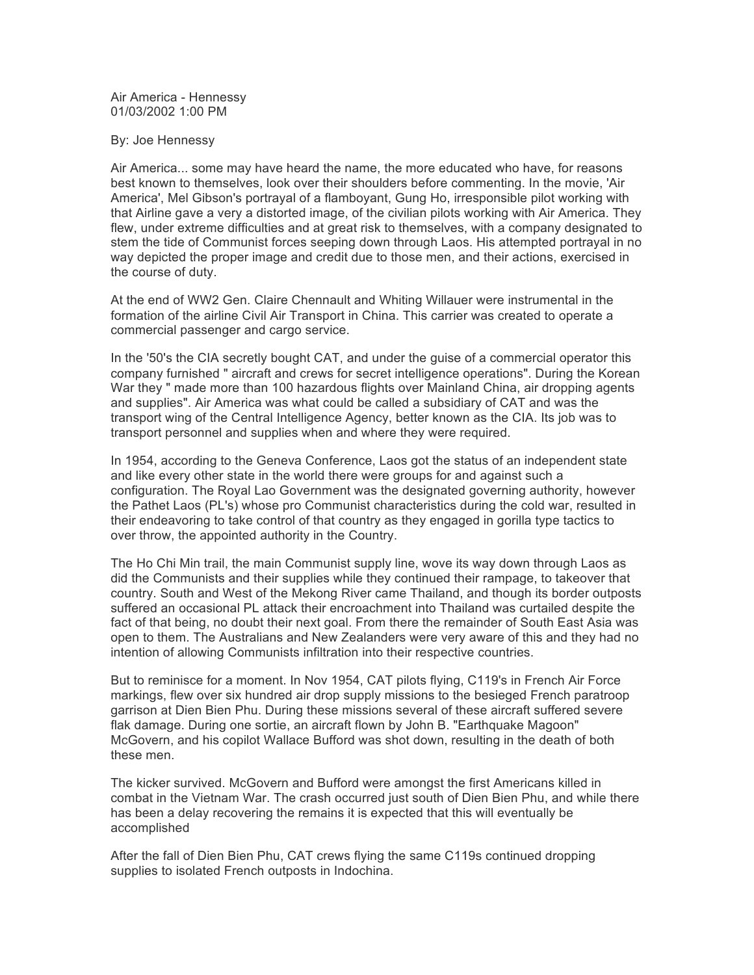Air America - Hennessy 01/03/2002 1:00 PM

## By: Joe Hennessy

Air America... some may have heard the name, the more educated who have, for reasons best known to themselves, look over their shoulders before commenting. In the movie, 'Air America', Mel Gibson's portrayal of a flamboyant, Gung Ho, irresponsible pilot working with that Airline gave a very a distorted image, of the civilian pilots working with Air America. They flew, under extreme difficulties and at great risk to themselves, with a company designated to stem the tide of Communist forces seeping down through Laos. His attempted portrayal in no way depicted the proper image and credit due to those men, and their actions, exercised in the course of duty.

At the end of WW2 Gen. Claire Chennault and Whiting Willauer were instrumental in the formation of the airline Civil Air Transport in China. This carrier was created to operate a commercial passenger and cargo service.

In the '50's the CIA secretly bought CAT, and under the guise of a commercial operator this company furnished " aircraft and crews for secret intelligence operations". During the Korean War they " made more than 100 hazardous flights over Mainland China, air dropping agents and supplies". Air America was what could be called a subsidiary of CAT and was the transport wing of the Central Intelligence Agency, better known as the CIA. Its job was to transport personnel and supplies when and where they were required.

In 1954, according to the Geneva Conference, Laos got the status of an independent state and like every other state in the world there were groups for and against such a configuration. The Royal Lao Government was the designated governing authority, however the Pathet Laos (PL's) whose pro Communist characteristics during the cold war, resulted in their endeavoring to take control of that country as they engaged in gorilla type tactics to over throw, the appointed authority in the Country.

The Ho Chi Min trail, the main Communist supply line, wove its way down through Laos as did the Communists and their supplies while they continued their rampage, to takeover that country. South and West of the Mekong River came Thailand, and though its border outposts suffered an occasional PL attack their encroachment into Thailand was curtailed despite the fact of that being, no doubt their next goal. From there the remainder of South East Asia was open to them. The Australians and New Zealanders were very aware of this and they had no intention of allowing Communists infiltration into their respective countries.

But to reminisce for a moment. In Nov 1954, CAT pilots flying, C119's in French Air Force markings, flew over six hundred air drop supply missions to the besieged French paratroop garrison at Dien Bien Phu. During these missions several of these aircraft suffered severe flak damage. During one sortie, an aircraft flown by John B. "Earthquake Magoon" McGovern, and his copilot Wallace Bufford was shot down, resulting in the death of both these men.

The kicker survived. McGovern and Bufford were amongst the first Americans killed in combat in the Vietnam War. The crash occurred just south of Dien Bien Phu, and while there has been a delay recovering the remains it is expected that this will eventually be accomplished

After the fall of Dien Bien Phu, CAT crews flying the same C119s continued dropping supplies to isolated French outposts in Indochina.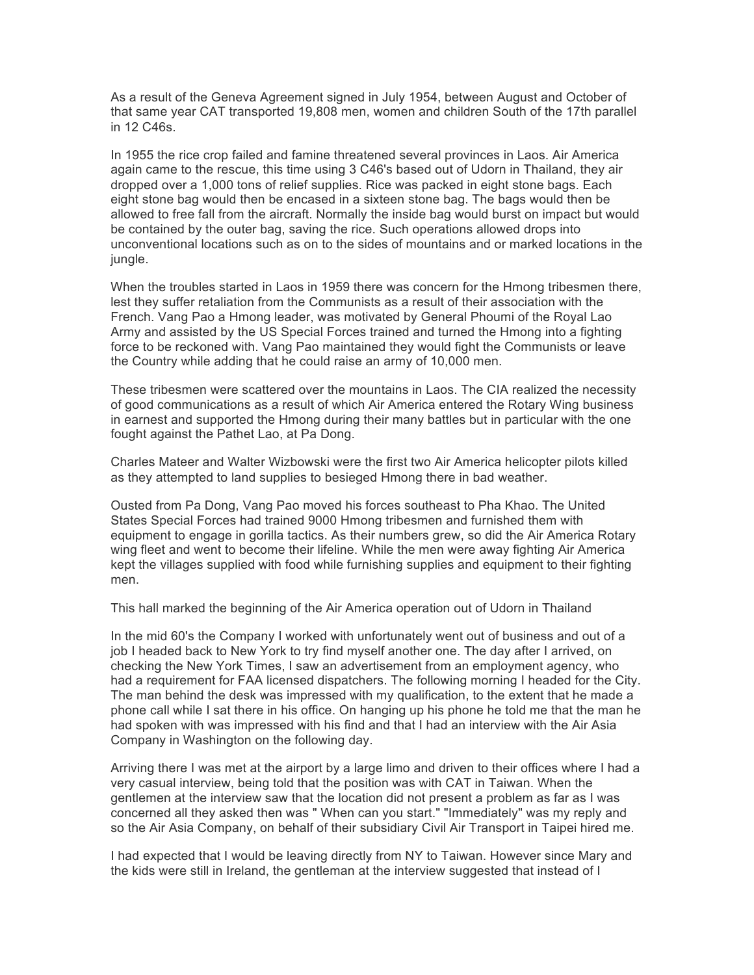As a result of the Geneva Agreement signed in July 1954, between August and October of that same year CAT transported 19,808 men, women and children South of the 17th parallel in 12 C46s.

In 1955 the rice crop failed and famine threatened several provinces in Laos. Air America again came to the rescue, this time using 3 C46's based out of Udorn in Thailand, they air dropped over a 1,000 tons of relief supplies. Rice was packed in eight stone bags. Each eight stone bag would then be encased in a sixteen stone bag. The bags would then be allowed to free fall from the aircraft. Normally the inside bag would burst on impact but would be contained by the outer bag, saving the rice. Such operations allowed drops into unconventional locations such as on to the sides of mountains and or marked locations in the jungle.

When the troubles started in Laos in 1959 there was concern for the Hmong tribesmen there, lest they suffer retaliation from the Communists as a result of their association with the French. Vang Pao a Hmong leader, was motivated by General Phoumi of the Royal Lao Army and assisted by the US Special Forces trained and turned the Hmong into a fighting force to be reckoned with. Vang Pao maintained they would fight the Communists or leave the Country while adding that he could raise an army of 10,000 men.

These tribesmen were scattered over the mountains in Laos. The CIA realized the necessity of good communications as a result of which Air America entered the Rotary Wing business in earnest and supported the Hmong during their many battles but in particular with the one fought against the Pathet Lao, at Pa Dong.

Charles Mateer and Walter Wizbowski were the first two Air America helicopter pilots killed as they attempted to land supplies to besieged Hmong there in bad weather.

Ousted from Pa Dong, Vang Pao moved his forces southeast to Pha Khao. The United States Special Forces had trained 9000 Hmong tribesmen and furnished them with equipment to engage in gorilla tactics. As their numbers grew, so did the Air America Rotary wing fleet and went to become their lifeline. While the men were away fighting Air America kept the villages supplied with food while furnishing supplies and equipment to their fighting men.

This hall marked the beginning of the Air America operation out of Udorn in Thailand

In the mid 60's the Company I worked with unfortunately went out of business and out of a job I headed back to New York to try find myself another one. The day after I arrived, on checking the New York Times, I saw an advertisement from an employment agency, who had a requirement for FAA licensed dispatchers. The following morning I headed for the City. The man behind the desk was impressed with my qualification, to the extent that he made a phone call while I sat there in his office. On hanging up his phone he told me that the man he had spoken with was impressed with his find and that I had an interview with the Air Asia Company in Washington on the following day.

Arriving there I was met at the airport by a large limo and driven to their offices where I had a very casual interview, being told that the position was with CAT in Taiwan. When the gentlemen at the interview saw that the location did not present a problem as far as I was concerned all they asked then was " When can you start." "Immediately" was my reply and so the Air Asia Company, on behalf of their subsidiary Civil Air Transport in Taipei hired me.

I had expected that I would be leaving directly from NY to Taiwan. However since Mary and the kids were still in Ireland, the gentleman at the interview suggested that instead of I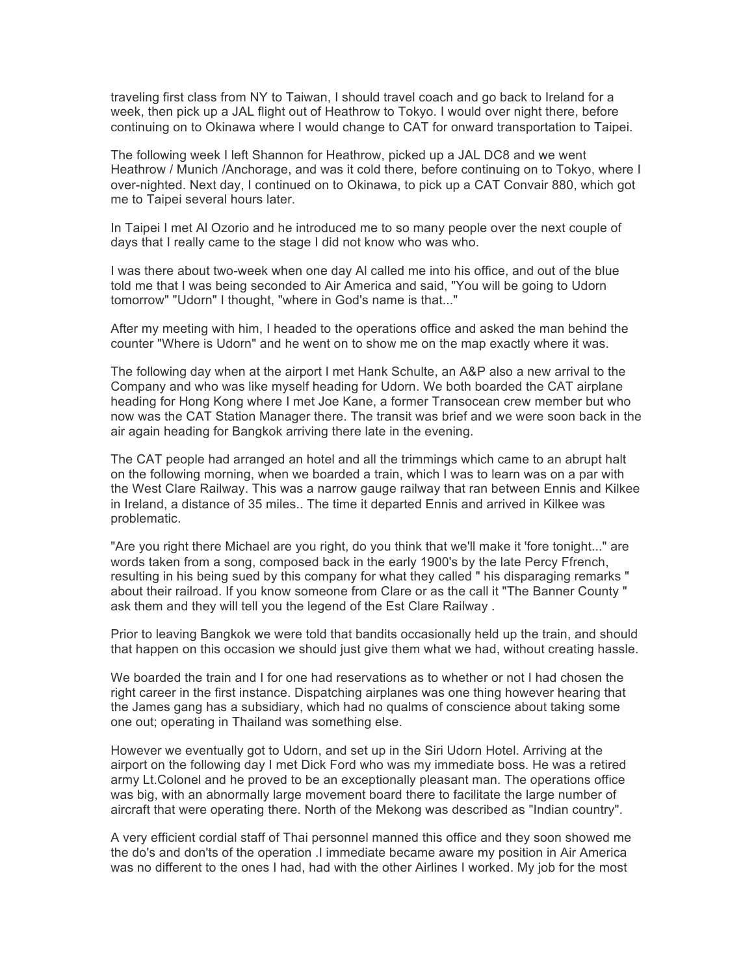traveling first class from NY to Taiwan, I should travel coach and go back to Ireland for a week, then pick up a JAL flight out of Heathrow to Tokyo. I would over night there, before continuing on to Okinawa where I would change to CAT for onward transportation to Taipei.

The following week I left Shannon for Heathrow, picked up a JAL DC8 and we went Heathrow / Munich /Anchorage, and was it cold there, before continuing on to Tokyo, where I over-nighted. Next day, I continued on to Okinawa, to pick up a CAT Convair 880, which got me to Taipei several hours later.

In Taipei I met Al Ozorio and he introduced me to so many people over the next couple of days that I really came to the stage I did not know who was who.

I was there about two-week when one day Al called me into his office, and out of the blue told me that I was being seconded to Air America and said, "You will be going to Udorn tomorrow" "Udorn" I thought, "where in God's name is that..."

After my meeting with him, I headed to the operations office and asked the man behind the counter "Where is Udorn" and he went on to show me on the map exactly where it was.

The following day when at the airport I met Hank Schulte, an A&P also a new arrival to the Company and who was like myself heading for Udorn. We both boarded the CAT airplane heading for Hong Kong where I met Joe Kane, a former Transocean crew member but who now was the CAT Station Manager there. The transit was brief and we were soon back in the air again heading for Bangkok arriving there late in the evening.

The CAT people had arranged an hotel and all the trimmings which came to an abrupt halt on the following morning, when we boarded a train, which I was to learn was on a par with the West Clare Railway. This was a narrow gauge railway that ran between Ennis and Kilkee in Ireland, a distance of 35 miles.. The time it departed Ennis and arrived in Kilkee was problematic.

"Are you right there Michael are you right, do you think that we'll make it 'fore tonight..." are words taken from a song, composed back in the early 1900's by the late Percy Ffrench, resulting in his being sued by this company for what they called " his disparaging remarks " about their railroad. If you know someone from Clare or as the call it "The Banner County " ask them and they will tell you the legend of the Est Clare Railway .

Prior to leaving Bangkok we were told that bandits occasionally held up the train, and should that happen on this occasion we should just give them what we had, without creating hassle.

We boarded the train and I for one had reservations as to whether or not I had chosen the right career in the first instance. Dispatching airplanes was one thing however hearing that the James gang has a subsidiary, which had no qualms of conscience about taking some one out; operating in Thailand was something else.

However we eventually got to Udorn, and set up in the Siri Udorn Hotel. Arriving at the airport on the following day I met Dick Ford who was my immediate boss. He was a retired army Lt.Colonel and he proved to be an exceptionally pleasant man. The operations office was big, with an abnormally large movement board there to facilitate the large number of aircraft that were operating there. North of the Mekong was described as "Indian country".

A very efficient cordial staff of Thai personnel manned this office and they soon showed me the do's and don'ts of the operation .I immediate became aware my position in Air America was no different to the ones I had, had with the other Airlines I worked. My job for the most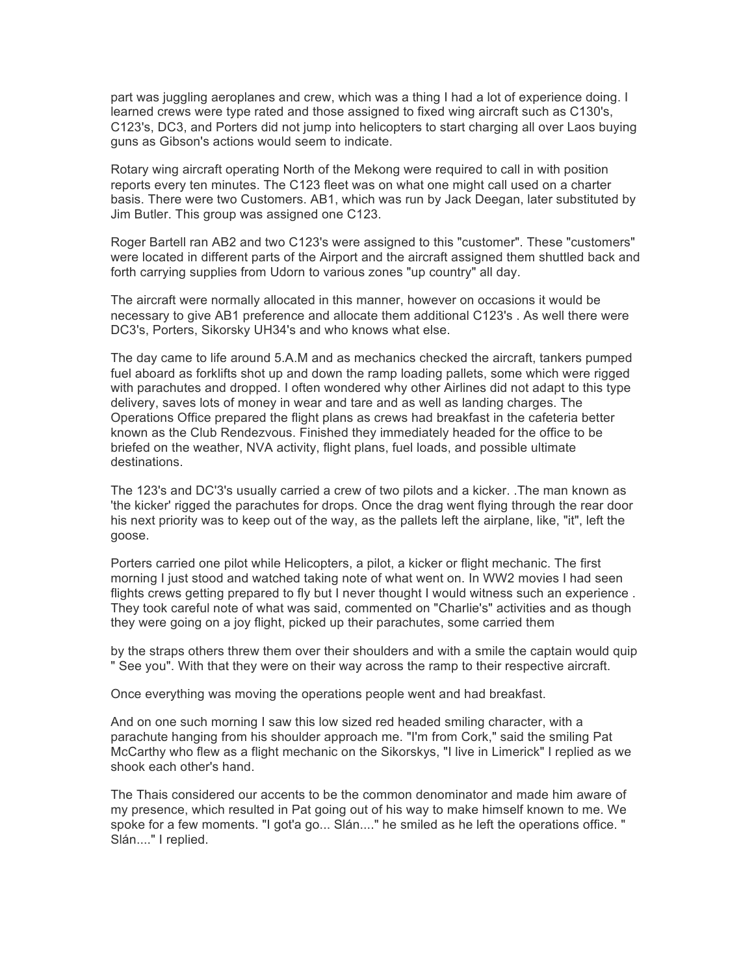part was juggling aeroplanes and crew, which was a thing I had a lot of experience doing. I learned crews were type rated and those assigned to fixed wing aircraft such as C130's, C123's, DC3, and Porters did not jump into helicopters to start charging all over Laos buying guns as Gibson's actions would seem to indicate.

Rotary wing aircraft operating North of the Mekong were required to call in with position reports every ten minutes. The C123 fleet was on what one might call used on a charter basis. There were two Customers. AB1, which was run by Jack Deegan, later substituted by Jim Butler. This group was assigned one C123.

Roger Bartell ran AB2 and two C123's were assigned to this "customer". These "customers" were located in different parts of the Airport and the aircraft assigned them shuttled back and forth carrying supplies from Udorn to various zones "up country" all day.

The aircraft were normally allocated in this manner, however on occasions it would be necessary to give AB1 preference and allocate them additional C123's . As well there were DC3's, Porters, Sikorsky UH34's and who knows what else.

The day came to life around 5.A.M and as mechanics checked the aircraft, tankers pumped fuel aboard as forklifts shot up and down the ramp loading pallets, some which were rigged with parachutes and dropped. I often wondered why other Airlines did not adapt to this type delivery, saves lots of money in wear and tare and as well as landing charges. The Operations Office prepared the flight plans as crews had breakfast in the cafeteria better known as the Club Rendezvous. Finished they immediately headed for the office to be briefed on the weather, NVA activity, flight plans, fuel loads, and possible ultimate destinations.

The 123's and DC'3's usually carried a crew of two pilots and a kicker. .The man known as 'the kicker' rigged the parachutes for drops. Once the drag went flying through the rear door his next priority was to keep out of the way, as the pallets left the airplane, like, "it", left the goose.

Porters carried one pilot while Helicopters, a pilot, a kicker or flight mechanic. The first morning I just stood and watched taking note of what went on. In WW2 movies I had seen flights crews getting prepared to fly but I never thought I would witness such an experience . They took careful note of what was said, commented on "Charlie's" activities and as though they were going on a joy flight, picked up their parachutes, some carried them

by the straps others threw them over their shoulders and with a smile the captain would quip " See you". With that they were on their way across the ramp to their respective aircraft.

Once everything was moving the operations people went and had breakfast.

And on one such morning I saw this low sized red headed smiling character, with a parachute hanging from his shoulder approach me. "I'm from Cork," said the smiling Pat McCarthy who flew as a flight mechanic on the Sikorskys, "I live in Limerick" I replied as we shook each other's hand.

The Thais considered our accents to be the common denominator and made him aware of my presence, which resulted in Pat going out of his way to make himself known to me. We spoke for a few moments. "I got'a go... Slán...." he smiled as he left the operations office. " Slán...." I replied.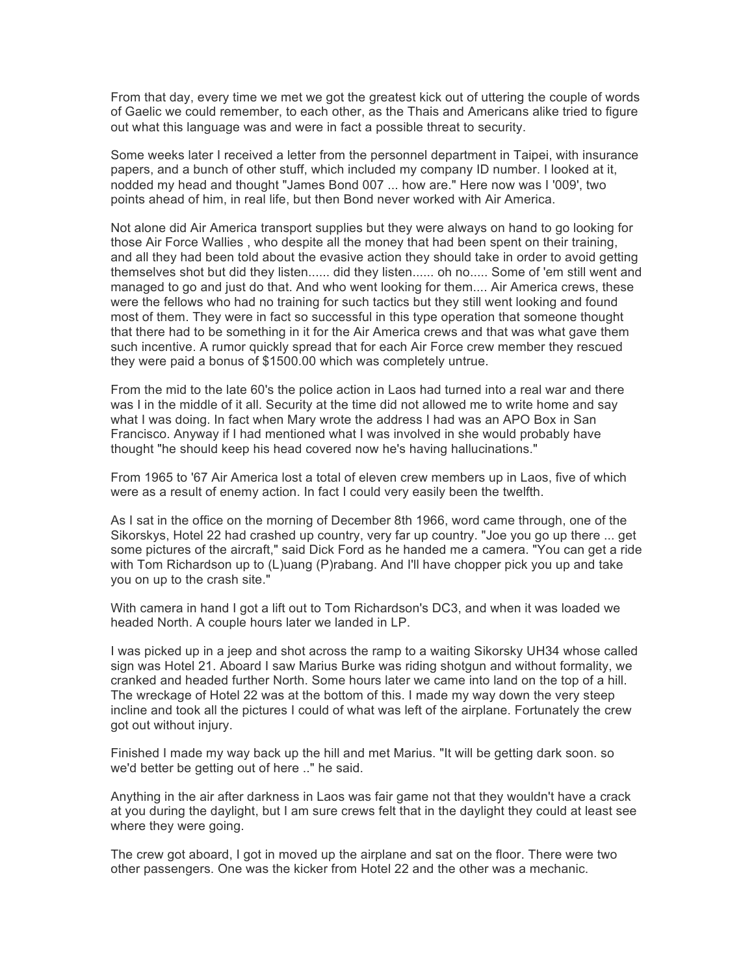From that day, every time we met we got the greatest kick out of uttering the couple of words of Gaelic we could remember, to each other, as the Thais and Americans alike tried to figure out what this language was and were in fact a possible threat to security.

Some weeks later I received a letter from the personnel department in Taipei, with insurance papers, and a bunch of other stuff, which included my company ID number. I looked at it, nodded my head and thought "James Bond 007 ... how are." Here now was I '009', two points ahead of him, in real life, but then Bond never worked with Air America.

Not alone did Air America transport supplies but they were always on hand to go looking for those Air Force Wallies , who despite all the money that had been spent on their training, and all they had been told about the evasive action they should take in order to avoid getting themselves shot but did they listen...... did they listen...... oh no..... Some of 'em still went and managed to go and just do that. And who went looking for them.... Air America crews, these were the fellows who had no training for such tactics but they still went looking and found most of them. They were in fact so successful in this type operation that someone thought that there had to be something in it for the Air America crews and that was what gave them such incentive. A rumor quickly spread that for each Air Force crew member they rescued they were paid a bonus of \$1500.00 which was completely untrue.

From the mid to the late 60's the police action in Laos had turned into a real war and there was I in the middle of it all. Security at the time did not allowed me to write home and say what I was doing. In fact when Mary wrote the address I had was an APO Box in San Francisco. Anyway if I had mentioned what I was involved in she would probably have thought "he should keep his head covered now he's having hallucinations."

From 1965 to '67 Air America lost a total of eleven crew members up in Laos, five of which were as a result of enemy action. In fact I could very easily been the twelfth.

As I sat in the office on the morning of December 8th 1966, word came through, one of the Sikorskys, Hotel 22 had crashed up country, very far up country. "Joe you go up there ... get some pictures of the aircraft," said Dick Ford as he handed me a camera. "You can get a ride with Tom Richardson up to (L)uang (P)rabang. And I'll have chopper pick you up and take you on up to the crash site."

With camera in hand I got a lift out to Tom Richardson's DC3, and when it was loaded we headed North. A couple hours later we landed in LP.

I was picked up in a jeep and shot across the ramp to a waiting Sikorsky UH34 whose called sign was Hotel 21. Aboard I saw Marius Burke was riding shotgun and without formality, we cranked and headed further North. Some hours later we came into land on the top of a hill. The wreckage of Hotel 22 was at the bottom of this. I made my way down the very steep incline and took all the pictures I could of what was left of the airplane. Fortunately the crew got out without injury.

Finished I made my way back up the hill and met Marius. "It will be getting dark soon. so we'd better be getting out of here .." he said.

Anything in the air after darkness in Laos was fair game not that they wouldn't have a crack at you during the daylight, but I am sure crews felt that in the daylight they could at least see where they were going.

The crew got aboard, I got in moved up the airplane and sat on the floor. There were two other passengers. One was the kicker from Hotel 22 and the other was a mechanic.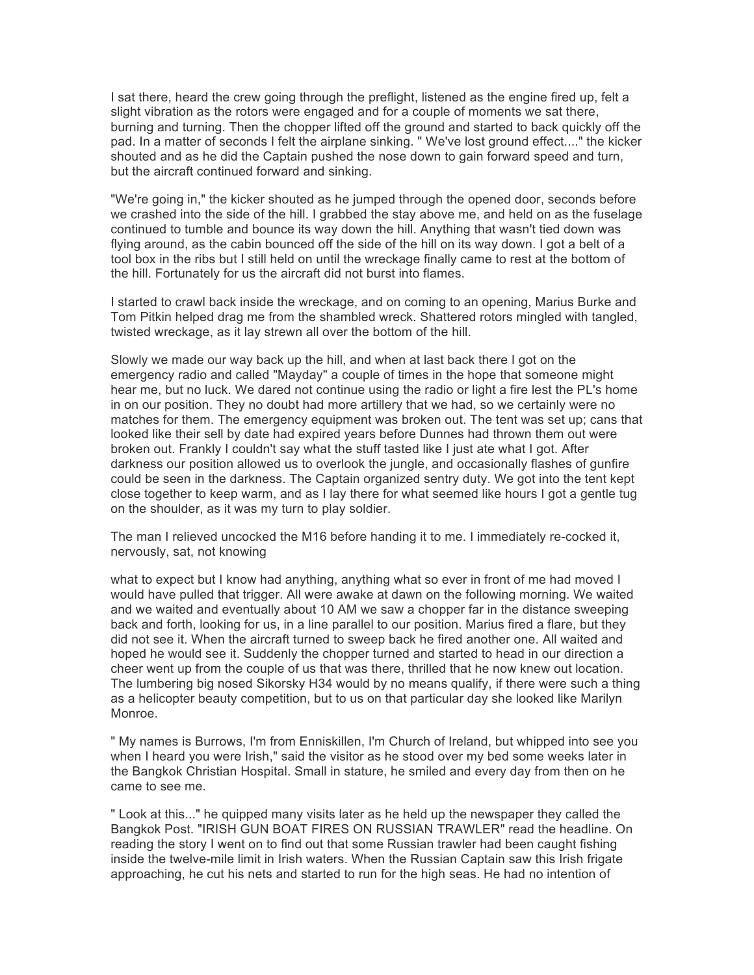I sat there, heard the crew going through the preflight, listened as the engine fired up, felt a slight vibration as the rotors were engaged and for a couple of moments we sat there, burning and turning. Then the chopper lifted off the ground and started to back quickly off the pad. In a matter of seconds I felt the airplane sinking. " We've lost ground effect...." the kicker shouted and as he did the Captain pushed the nose down to gain forward speed and turn, but the aircraft continued forward and sinking.

"We're going in," the kicker shouted as he jumped through the opened door, seconds before we crashed into the side of the hill. I grabbed the stay above me, and held on as the fuselage continued to tumble and bounce its way down the hill. Anything that wasn't tied down was flying around, as the cabin bounced off the side of the hill on its way down. I got a belt of a tool box in the ribs but I still held on until the wreckage finally came to rest at the bottom of the hill. Fortunately for us the aircraft did not burst into flames.

I started to crawl back inside the wreckage, and on coming to an opening, Marius Burke and Tom Pitkin helped drag me from the shambled wreck. Shattered rotors mingled with tangled, twisted wreckage, as it lay strewn all over the bottom of the hill.

Slowly we made our way back up the hill, and when at last back there I got on the emergency radio and called "Mayday" a couple of times in the hope that someone might hear me, but no luck. We dared not continue using the radio or light a fire lest the PL's home in on our position. They no doubt had more artillery that we had, so we certainly were no matches for them. The emergency equipment was broken out. The tent was set up; cans that looked like their sell by date had expired years before Dunnes had thrown them out were broken out. Frankly I couldn't say what the stuff tasted like I just ate what I got. After darkness our position allowed us to overlook the jungle, and occasionally flashes of gunfire could be seen in the darkness. The Captain organized sentry duty. We got into the tent kept close together to keep warm, and as I lay there for what seemed like hours I got a gentle tug on the shoulder, as it was my turn to play soldier.

The man I relieved uncocked the M16 before handing it to me. I immediately re-cocked it, nervously, sat, not knowing

what to expect but I know had anything, anything what so ever in front of me had moved I would have pulled that trigger. All were awake at dawn on the following morning. We waited and we waited and eventually about 10 AM we saw a chopper far in the distance sweeping back and forth, looking for us, in a line parallel to our position. Marius fired a flare, but they did not see it. When the aircraft turned to sweep back he fired another one. All waited and hoped he would see it. Suddenly the chopper turned and started to head in our direction a cheer went up from the couple of us that was there, thrilled that he now knew out location. The lumbering big nosed Sikorsky H34 would by no means qualify, if there were such a thing as a helicopter beauty competition, but to us on that particular day she looked like Marilyn Monroe.

" My names is Burrows, I'm from Enniskillen, I'm Church of Ireland, but whipped into see you when I heard you were Irish," said the visitor as he stood over my bed some weeks later in the Bangkok Christian Hospital. Small in stature, he smiled and every day from then on he came to see me.

" Look at this..." he quipped many visits later as he held up the newspaper they called the Bangkok Post. "IRISH GUN BOAT FIRES ON RUSSIAN TRAWLER" read the headline. On reading the story I went on to find out that some Russian trawler had been caught fishing inside the twelve-mile limit in Irish waters. When the Russian Captain saw this Irish frigate approaching, he cut his nets and started to run for the high seas. He had no intention of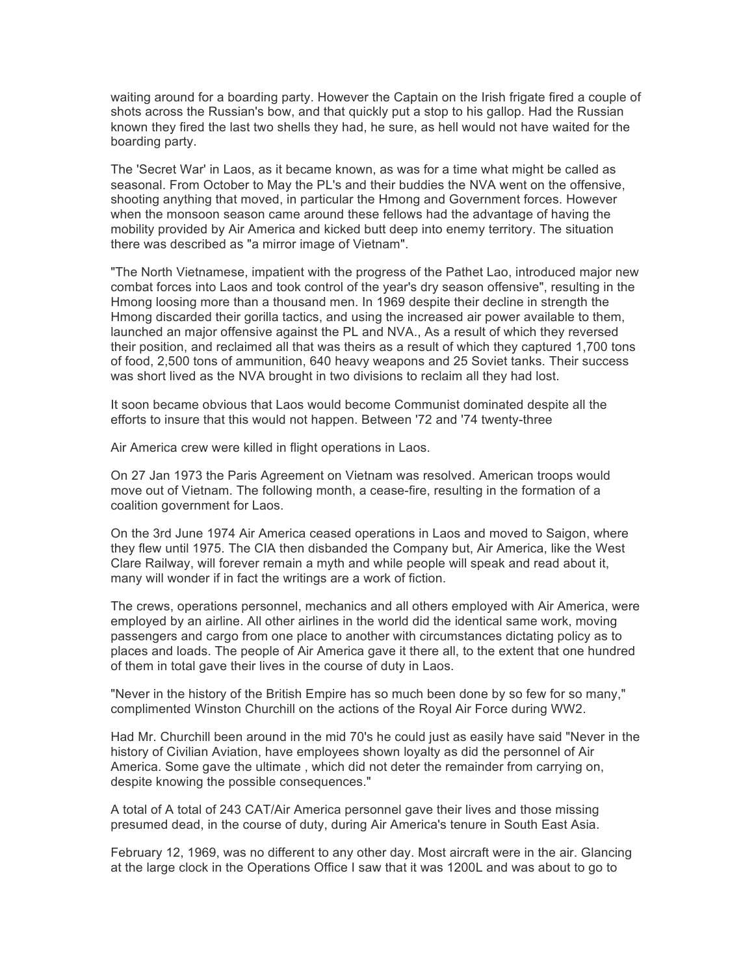waiting around for a boarding party. However the Captain on the Irish frigate fired a couple of shots across the Russian's bow, and that quickly put a stop to his gallop. Had the Russian known they fired the last two shells they had, he sure, as hell would not have waited for the boarding party.

The 'Secret War' in Laos, as it became known, as was for a time what might be called as seasonal. From October to May the PL's and their buddies the NVA went on the offensive, shooting anything that moved, in particular the Hmong and Government forces. However when the monsoon season came around these fellows had the advantage of having the mobility provided by Air America and kicked butt deep into enemy territory. The situation there was described as "a mirror image of Vietnam".

"The North Vietnamese, impatient with the progress of the Pathet Lao, introduced major new combat forces into Laos and took control of the year's dry season offensive", resulting in the Hmong loosing more than a thousand men. In 1969 despite their decline in strength the Hmong discarded their gorilla tactics, and using the increased air power available to them, launched an major offensive against the PL and NVA., As a result of which they reversed their position, and reclaimed all that was theirs as a result of which they captured 1,700 tons of food, 2,500 tons of ammunition, 640 heavy weapons and 25 Soviet tanks. Their success was short lived as the NVA brought in two divisions to reclaim all they had lost.

It soon became obvious that Laos would become Communist dominated despite all the efforts to insure that this would not happen. Between '72 and '74 twenty-three

Air America crew were killed in flight operations in Laos.

On 27 Jan 1973 the Paris Agreement on Vietnam was resolved. American troops would move out of Vietnam. The following month, a cease-fire, resulting in the formation of a coalition government for Laos.

On the 3rd June 1974 Air America ceased operations in Laos and moved to Saigon, where they flew until 1975. The CIA then disbanded the Company but, Air America, like the West Clare Railway, will forever remain a myth and while people will speak and read about it, many will wonder if in fact the writings are a work of fiction.

The crews, operations personnel, mechanics and all others employed with Air America, were employed by an airline. All other airlines in the world did the identical same work, moving passengers and cargo from one place to another with circumstances dictating policy as to places and loads. The people of Air America gave it there all, to the extent that one hundred of them in total gave their lives in the course of duty in Laos.

"Never in the history of the British Empire has so much been done by so few for so many," complimented Winston Churchill on the actions of the Royal Air Force during WW2.

Had Mr. Churchill been around in the mid 70's he could just as easily have said "Never in the history of Civilian Aviation, have employees shown loyalty as did the personnel of Air America. Some gave the ultimate , which did not deter the remainder from carrying on, despite knowing the possible consequences."

A total of A total of 243 CAT/Air America personnel gave their lives and those missing presumed dead, in the course of duty, during Air America's tenure in South East Asia.

February 12, 1969, was no different to any other day. Most aircraft were in the air. Glancing at the large clock in the Operations Office I saw that it was 1200L and was about to go to